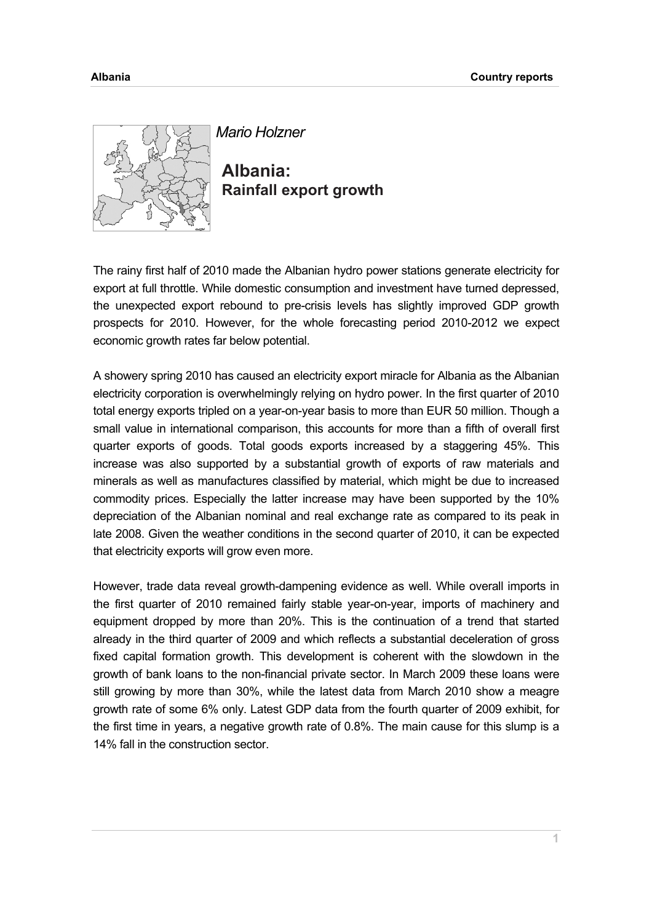

*Mario Holzner* 

**Albania: Rainfall export growth** 

The rainy first half of 2010 made the Albanian hydro power stations generate electricity for export at full throttle. While domestic consumption and investment have turned depressed, the unexpected export rebound to pre-crisis levels has slightly improved GDP growth prospects for 2010. However, for the whole forecasting period 2010-2012 we expect economic growth rates far below potential.

A showery spring 2010 has caused an electricity export miracle for Albania as the Albanian electricity corporation is overwhelmingly relying on hydro power. In the first quarter of 2010 total energy exports tripled on a year-on-year basis to more than EUR 50 million. Though a small value in international comparison, this accounts for more than a fifth of overall first quarter exports of goods. Total goods exports increased by a staggering 45%. This increase was also supported by a substantial growth of exports of raw materials and minerals as well as manufactures classified by material, which might be due to increased commodity prices. Especially the latter increase may have been supported by the 10% depreciation of the Albanian nominal and real exchange rate as compared to its peak in late 2008. Given the weather conditions in the second quarter of 2010, it can be expected that electricity exports will grow even more.

However, trade data reveal growth-dampening evidence as well. While overall imports in the first quarter of 2010 remained fairly stable year-on-year, imports of machinery and equipment dropped by more than 20%. This is the continuation of a trend that started already in the third quarter of 2009 and which reflects a substantial deceleration of gross fixed capital formation growth. This development is coherent with the slowdown in the growth of bank loans to the non-financial private sector. In March 2009 these loans were still growing by more than 30%, while the latest data from March 2010 show a meagre growth rate of some 6% only. Latest GDP data from the fourth quarter of 2009 exhibit, for the first time in years, a negative growth rate of 0.8%. The main cause for this slump is a 14% fall in the construction sector.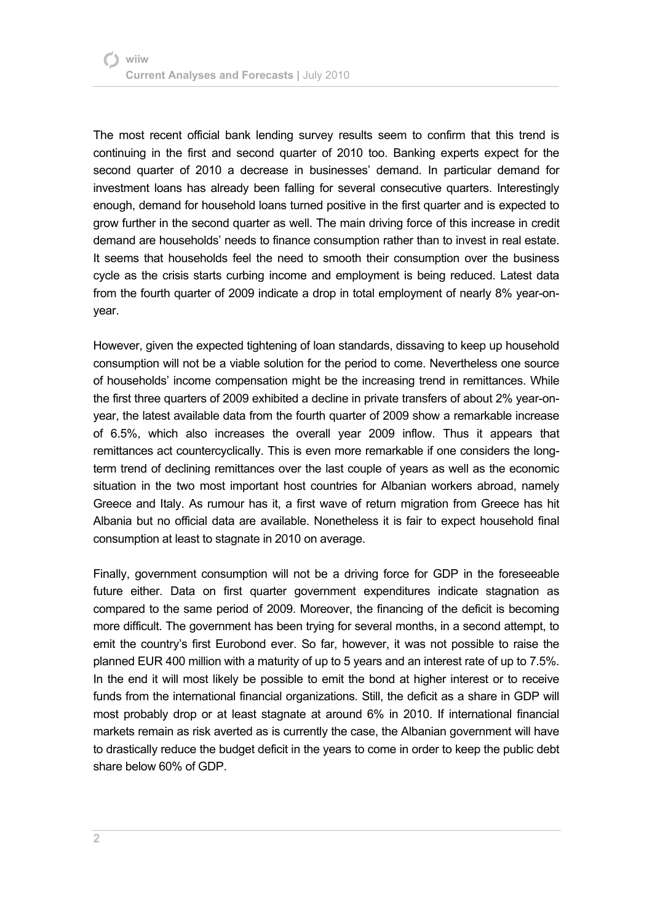The most recent official bank lending survey results seem to confirm that this trend is continuing in the first and second quarter of 2010 too. Banking experts expect for the second quarter of 2010 a decrease in businesses' demand. In particular demand for investment loans has already been falling for several consecutive quarters. Interestingly enough, demand for household loans turned positive in the first quarter and is expected to grow further in the second quarter as well. The main driving force of this increase in credit demand are households' needs to finance consumption rather than to invest in real estate. It seems that households feel the need to smooth their consumption over the business cycle as the crisis starts curbing income and employment is being reduced. Latest data from the fourth quarter of 2009 indicate a drop in total employment of nearly 8% year-onyear.

However, given the expected tightening of loan standards, dissaving to keep up household consumption will not be a viable solution for the period to come. Nevertheless one source of households' income compensation might be the increasing trend in remittances. While the first three quarters of 2009 exhibited a decline in private transfers of about 2% year-onyear, the latest available data from the fourth quarter of 2009 show a remarkable increase of 6.5%, which also increases the overall year 2009 inflow. Thus it appears that remittances act countercyclically. This is even more remarkable if one considers the longterm trend of declining remittances over the last couple of years as well as the economic situation in the two most important host countries for Albanian workers abroad, namely Greece and Italy. As rumour has it, a first wave of return migration from Greece has hit Albania but no official data are available. Nonetheless it is fair to expect household final consumption at least to stagnate in 2010 on average.

Finally, government consumption will not be a driving force for GDP in the foreseeable future either. Data on first quarter government expenditures indicate stagnation as compared to the same period of 2009. Moreover, the financing of the deficit is becoming more difficult. The government has been trying for several months, in a second attempt, to emit the country's first Eurobond ever. So far, however, it was not possible to raise the planned EUR 400 million with a maturity of up to 5 years and an interest rate of up to 7.5%. In the end it will most likely be possible to emit the bond at higher interest or to receive funds from the international financial organizations. Still, the deficit as a share in GDP will most probably drop or at least stagnate at around 6% in 2010. If international financial markets remain as risk averted as is currently the case, the Albanian government will have to drastically reduce the budget deficit in the years to come in order to keep the public debt share below 60% of GDP.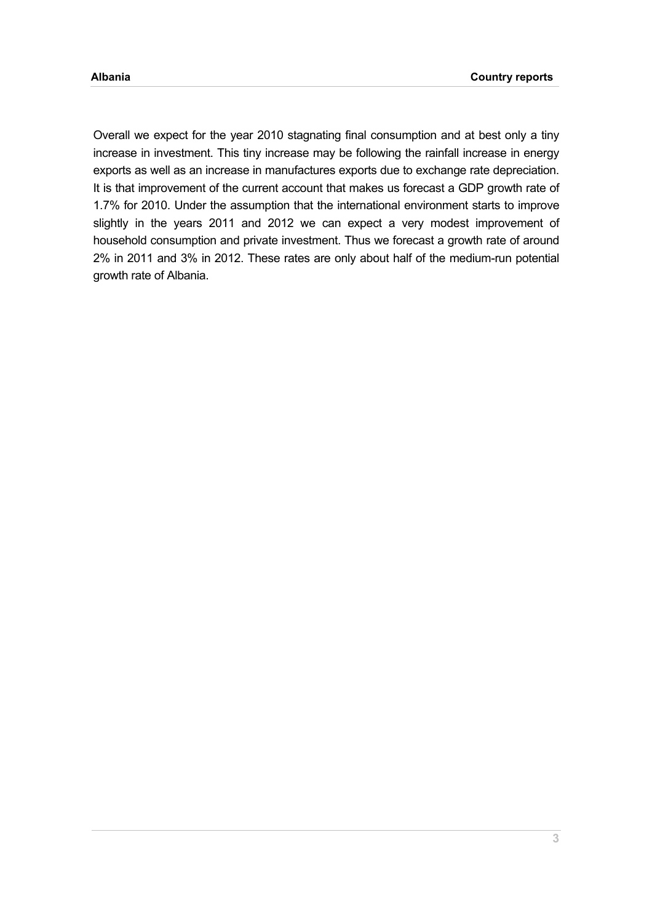Overall we expect for the year 2010 stagnating final consumption and at best only a tiny increase in investment. This tiny increase may be following the rainfall increase in energy exports as well as an increase in manufactures exports due to exchange rate depreciation. It is that improvement of the current account that makes us forecast a GDP growth rate of 1.7% for 2010. Under the assumption that the international environment starts to improve slightly in the years 2011 and 2012 we can expect a very modest improvement of household consumption and private investment. Thus we forecast a growth rate of around 2% in 2011 and 3% in 2012. These rates are only about half of the medium-run potential growth rate of Albania.